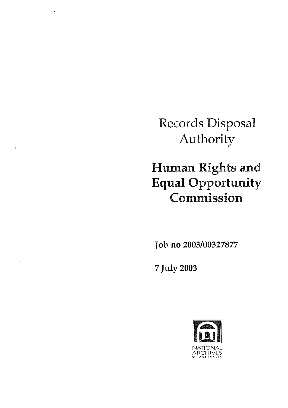Records Disposal Authority

Human Rights and Equal Opportunity Commission

Job no 2003/00327877

7 July 2003

 $\label{eq:2.1} \frac{1}{\sqrt{2}}\frac{\partial \phi}{\partial \phi} = 0.$ 

 $\mathcal{A}=\mathcal{A}$  , where  $\mathcal{A}$ 

 $\bar{t}$ 

 $\sim$  1

 $\sim$ 

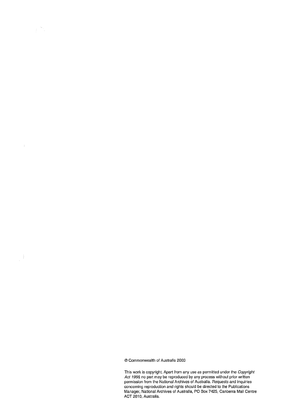$\mathcal{L}^{(2)}$ 

 $\bar{\beta}$ 

 $\frac{1}{2}$ 

© Commonwealth of Australia 2003

This work is copyright. Apart from any use as permitted under the Copyright Act 1968 no part may be reproduced by any process without prior written permission from the National Archives of Australia. Requests and inquiries concerning reproduction and rights should be directed to the Publications Manager, National Archives of Australia, PO Box 7425, Canberra Mail Centre ACT 2610, Australia,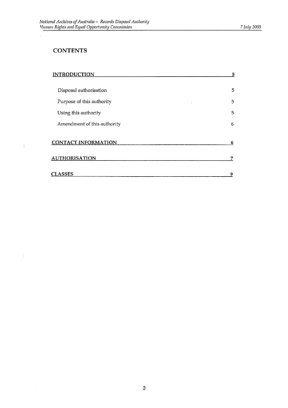# **CONTENTS**

l,

 $\frac{1}{2}$ 

 $\frac{1}{\sigma^2}$ 

| <b>INTRODUCTION</b>         | 5 |
|-----------------------------|---|
|                             |   |
| Disposal authorisation      | 5 |
| Purpose of this authority   | 5 |
| Using this authority        | 5 |
| Amendment of this authority | 6 |
| <b>CONTACT INFORMATION</b>  | 6 |
| <b>AUTHORISATION</b>        |   |
| <b>CLASSES</b>              | 9 |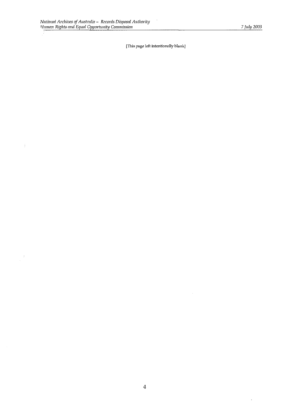$\mathcal{I}$ 

 $\frac{1}{\pi} \frac{1}{\pi}$ 

[This page left intentionally blank]

 $\sim$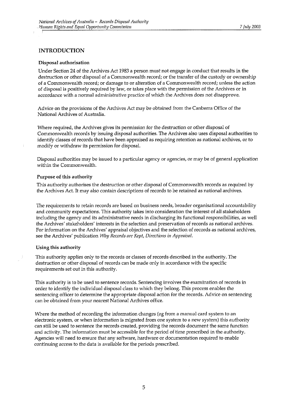### **INTRODUCTION**

### Disposal authorisation

Under Section 24 of the Archives Act 1983 a person must not engage in conduct that results in the destruction or other disposal of a Commonwealth record; or the transfer of the custody or ownership of a Commonwealth record; or damage to or alteration of a Commonwealth record; unless the action of disposal is positively required by law, or takes place with the permission of the Archives or in accordance with a normal administrative practice of which the Archives does not disapprove.

Advice on the provisions of the Archives Act may be obtained from the Canberra Office of the National Archives of Australia.

Where required, the Archives gives its permission for the destruction or other disposal of Commonwealth records by issuing disposal authorities. The Archives also uses disposal authorities to identify classes of records that have been appraised as requiring retention as national archives, or to modify or withdraw its permission for disposal.

Disposal authorities may be issued to a particular agency or agencies, or may be of general application within the Commonwealth.

### Purpose of this authority

This authority authorises the destruction or other disposal of Commonwealth records as required by the Archives Act. It may also contain descriptions of records to be retained as national archives.

The requirements to retain records are based on business needs, broader organisational accountability and community expectations. This authority takes into consideration the interest of all stakeholders including the agency and its administrative needs in discharging its functional responsibilities, as well the Archives' stakeholders' interests in the selection and preservation of records as national archives. For information on the Archives' appraisal objectives and the selection of records as national archives, see the Archives' publication Why *Records are Kept, Directions in Appraisal.*

### Using this authority

This authority applies only to the records or classes of records described in the authority, The destruction or other disposal of records can be made only in accordance with the specific requirements set out in this authority.

This authority is to be used to sentence records. Sentencing involves the examination of records in order to identify the individual disposal class to which they belong. 111is process enables the sentencing officer to determine the appropriate disposal action for the records. Advice on sentencing can be obtained from your nearest National Archives office.

Where the method of recording the information changes (eg from a manual card system to an electronic system, or when information is migrated from one system to a new system) this authority can still be used to sentence the records created, providing the records document the same function and activity. The information must be accessible for the period of time prescribed in the authority. Agencies will need to ensure that any software, hardware or documentation required to enable continuing access to the data is available for the periods prescribed.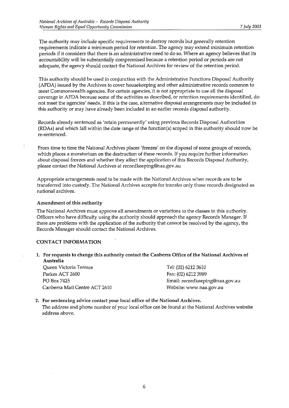The authority may include specific requirements to destroy records but generally retention requirements indicate a minimum period for retention. The agency may extend minimum retention periods if it considers that there is an administrative need to do so. Where an agency believes that its accountability will be substantially compromised because a retention period or periods are not adequate, the agency should contact the National Archives for review of the retention period.

This authority should be used in conjunction with the Administrative Functions Disposal Authority (AFDA) issued by the Archives to cover housekeeping and other administrative records cornmon to most Commonwealth agencies. For certain agencies, it is not appropriate to use all the disposal coverage in AFDA because some of the activities as described, or retention requirements identified, do not meet the agencies' needs. If this is the case, alternative disposal arrangements may be included in this authority or may have already been included in an earlier records disposal authority.

Records already sentenced as 'retain permanently' using previous Records Disposal Authorities (RDAs) and which fall within the date range of the function(s) scoped in this authority should now be re-sentenced.

From time to time the National Archives places 'freezes' on the disposal of some groups of records, which places a moratorium on the destruction of these records. If you require further information about disposal freezes and whether they affect the application of this Records Disposal Authority, please contact the National Archives at recordkeeping@naa.gov.au

Appropriate arrangements need to be made with the National Archives when records are to be transferred into custody. The National Archives accepts for transfer only those records designated as national archives.

### Amendment of this authority

The National Archives must approve all amendments or variations to the classes in this authority. Officers who have difficulty using the authority should approach the agency Records Manager. If there are problems with the application of the authority that cannot be resolved by the agency, the Records Manager should contact the National Archives.

### CONTACT INFORMATION

1. For requests to change this authority contact the Canberra Office of the National Archives of Australia

Queen Victoria Terrace Tel: (02) 6212 3610 Parkes ACT 2600 Fax: (02) 6212 3989 PO Box 7425 Email: recordkeeping@naa.gov.au Canberra Mail Centre ACT 2610 Website: www.naa.gov.au

2. For sentencing advice contact your local office of the National Archives. The address and phone number of your local office can be found at the National Archives website address above.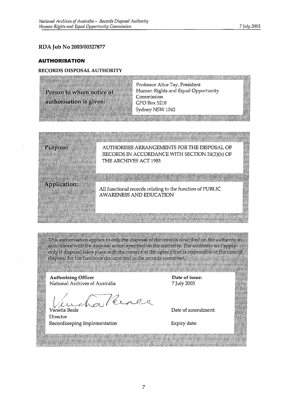### **RDA Job** No *2003/00327877*

### **AUTHORISATION**

### RECORDS DISPOSAL AUTHORITY

|                          | Professor Alice Tay, President     |  |
|--------------------------|------------------------------------|--|
| Person to whom notice of | Human Rights and Equal Opportunity |  |
|                          | Commission                         |  |
| authorisation is given.  | $GPO$ Box 5218                     |  |
|                          | Sydney NSW 1042                    |  |
|                          |                                    |  |
|                          |                                    |  |



This authorisation applies to only the disposal of the records described on the authority in accordance with the disposal action specified on the authority. The authority will apply only if disposal takes place with the consent of the agency that is responsible at the time of disposal for the functions documented in the records concerned.

**Authorising Officer** National Archives of Australia

charleave

Venetia Beale Director Recordkeeping Implementation

Date of issue: 7 July 2003

Date of amendment:

Expiry date: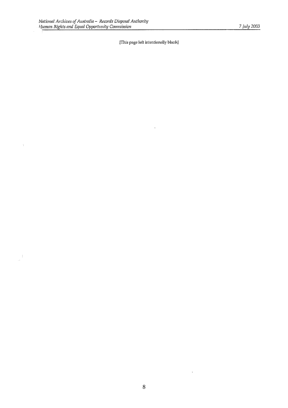$\bar{1}$ 

 $\frac{1}{\sqrt{2}}$ 

**[ntis page left intentionally blank}** 

 $\ddot{\phantom{a}}$ 

 $\hat{\mathcal{A}}$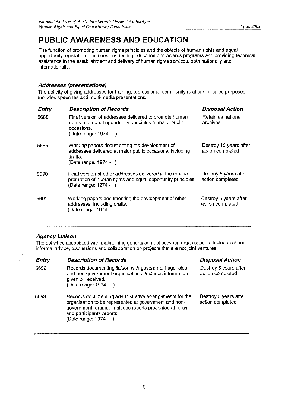The function of promoting human rights principies and the objects of human rights and equal opportunity legislation. Includes conducting education and awards programs and providing technical assistance in the establishment and delivery of human rights services, both nationally and internationally.

### **Addresses (presentations)**

The activity of giving addresses for training, professional, community relations or sales purposes. Inciudes speeches and multi-media presentations.

| Entry | <b>Description of Records</b>                                                                                                                           | <b>Disposal Action</b>                     |
|-------|---------------------------------------------------------------------------------------------------------------------------------------------------------|--------------------------------------------|
| 5688  | Final version of addresses delivered to promote human<br>rights and equal opportunity principles at major public<br>occasions.<br>(Date range: 1974 - ) | Retain as national<br>archives             |
| 5689  | Working papers documenting the development of<br>addresses delivered at major public occasions, including<br>drafts.<br>(Date range: 1974 - )           | Destroy 10 years after<br>action completed |
| 5690  | Final version of other addresses delivered in the routine<br>promotion of human rights and equal opportunity principles.<br>(Date range: 1974 - )       | Destroy 5 years after<br>action completed  |
| 5691  | Working papers documenting the development of other<br>addresses, including drafts.<br>(Date range: 1974 - )                                            | Destroy 5 years after<br>action completed  |

## **Agency Liaison**

The activities associated with maintaining general contact between organisations. Includes sharing informal advice, discussions and collaboration on projects that are not joint ventures.

| <b>Entry</b> | <b>Description of Records</b>                                                                                                                                                                                                     | <b>Disposal Action</b>                    |
|--------------|-----------------------------------------------------------------------------------------------------------------------------------------------------------------------------------------------------------------------------------|-------------------------------------------|
| 5692         | Records documenting liaison with government agencies<br>and non-government organisations. Includes information<br>given or received.<br>(Date range: 1974 - )                                                                     | Destroy 5 years after<br>action completed |
| 5693         | Records documenting administrative arrangements for the<br>organisation to be represented at government and non-<br>government forums. Includes reports presented at forums<br>and participants reports.<br>(Date range: 1974 - ) | Destroy 5 years after<br>action completed |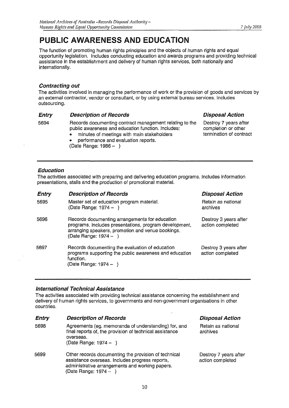The function of promoting human rights principles and the objects of human rights and equal opportunity legislation. Includes conducting education and awards programs and providing technical assistance in the establishment and deiivery of human rights services, both nationally and internationally.

### **Contracting out**

The activities involved in managing the performance of work or the provision of goods and services by an external contractor, vendor or consultant, or by using external bureau services. Includes outsourcing.

| Entry | <b>Description of Records</b>                                                                                                                                                                                                 | <b>Disposal Action</b>                                                  |
|-------|-------------------------------------------------------------------------------------------------------------------------------------------------------------------------------------------------------------------------------|-------------------------------------------------------------------------|
| 5694  | Records documenting contract management relating to the<br>public awareness and education function. Includes:<br>• minutes of meetings with main stakeholders<br>• performance and evaluation reports.<br>(Date Range: 1986 - | Destroy 7 years after<br>completion or other<br>termination of contract |

### **Education**

The activities associated with preparing and delivering education programs. Includes information presentations, stalls and the production of promotional material.

| Entry | <b>Description of Records</b>                                                                                                                                                            | <b>Disposal Action</b>                    |
|-------|------------------------------------------------------------------------------------------------------------------------------------------------------------------------------------------|-------------------------------------------|
| 5695  | Master set of education program material.<br>(Date Range: $1974 - 1$ )                                                                                                                   | Retain as national<br>archives            |
| 5696  | Records documenting arrangements for education<br>programs. Includes presentations, program development,<br>arranging speakers, promotion and venue bookings.<br>(Date Range: $1974 -$ ) | Destroy 3 years after<br>action completed |
| 5697  | Records documenting the evaluation of education<br>programs supporting the public awareness and education<br>function.<br>(Date Range: 1974 - )                                          | Destroy 3 years after<br>action completed |

### **International Technical Assistance**

The activities associated with providing technical assistance concerning the estabiishment and delivery of human rights services, to governments and non-government organisations in other countries.

| <b>Entry</b> | <b>Description of Records</b>                                                                                                                                                       | <b>Disposal Action</b>                    |
|--------------|-------------------------------------------------------------------------------------------------------------------------------------------------------------------------------------|-------------------------------------------|
| 5698         | Agreements (eg. memoranda of understanding) for, and<br>final reports of, the provision of technical assistance<br>overseas.<br>(Date Range: $1974 - 1$ )                           | Retain as national<br>archives            |
| 5699         | Other records documenting the provision of technical<br>assistance overseas. Includes progress reports,<br>administrative arrangements and working papers.<br>(Date Range: 1974 - ) | Destroy 7 years after<br>action completed |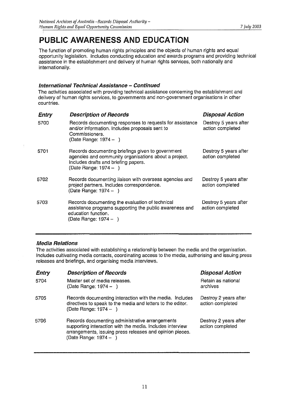The function of promoting human rights principles and the objects of human rights and equal opportunity legislation. Includes conducting education and awards programs and providing technicai assistance **in** the establishment and delivery of human rights services, both nationally and internationally.

# **International Technical Assistance - Continued**

The activities associated with providing technical assistance concerning the establishment and delivery of human rights services, to governments and non-government organisations in other countries.

| Entry | <b>Description of Records</b>                                                                                                                                               | <b>Disposal Action</b>                    |
|-------|-----------------------------------------------------------------------------------------------------------------------------------------------------------------------------|-------------------------------------------|
| 5700  | Records documenting responses to requests for assistance<br>and/or information. Includes proposals sent to<br>Commissioners.<br>(Date Range: 1974 - )                       | Destroy 5 years after<br>action completed |
| 5701  | Records documenting briefings given to government<br>agencies and community organisations about a project.<br>Includes drafts and briefing papers.<br>(Date Range: 1974 - ) | Destroy 5 years after<br>action completed |
| 5702  | Records documenting liaison with overseas agencies and<br>project partners. Includes correspondence.<br>(Date Range: $1974 - 1$ )                                           | Destroy 5 years after<br>action completed |
| 5703  | Records documenting the evaluation of technical<br>assistance programs supporting the public awareness and<br>education function.<br>(Date Range: 1974 – )                  | Destroy 5 years after<br>action completed |

## **Media Relations**

The activities associated with establishing a relationship between the media and the organisation. Includes cultivating media contacts, coordinating access to the media, authorising and issuing press releases and briefings, and organising media interviews.

| Entry | <b>Description of Records</b>                                                                                                                                                                         | <b>Disposal Action</b>                    |
|-------|-------------------------------------------------------------------------------------------------------------------------------------------------------------------------------------------------------|-------------------------------------------|
| 5704  | Master set of media releases.<br>(Date Range: 1974 – )                                                                                                                                                | Retain as national<br>archives            |
| 5705  | Records documenting interaction with the media. Includes<br>directives to speak to the media and letters to the editor.<br>(Date Range: 1974 – )                                                      | Destroy 2 years after<br>action completed |
| 5706  | Records documenting administrative arrangements<br>supporting interaction with the media. Includes interview<br>arrangements, issuing press releases and opinion pieces.<br>(Date Range: $1974 - 1$ ) | Destroy 2 years after<br>action completed |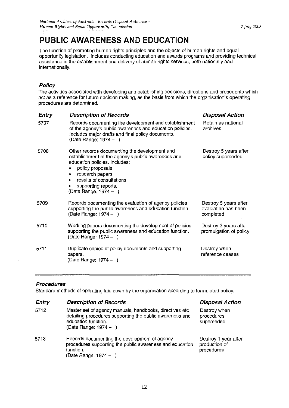The function of promoting human rights principles and the objects of human rights and equai opportunity legislation. Includes conducting education and awards programs and providing technical assistance in the establishment and delivery of human rights services, both nationaliy and internationaliy.

## **Policy**

The activities associated with developing and establishing decisions, directions and precedents which act as a reference for future decision making, as the basis from Which the organisation's operating procedures are determined.

| <b>Entry</b> | <b>Description of Records</b>                                                                                                                                                                                                                                                       | Disposal Action                                           |
|--------------|-------------------------------------------------------------------------------------------------------------------------------------------------------------------------------------------------------------------------------------------------------------------------------------|-----------------------------------------------------------|
| 5707         | Records documenting the development and establishment<br>of the agency's public awareness and education policies.<br>Includes major drafts and final policy documents.<br>(Date Range: 1974 - )                                                                                     | Retain as national<br>archives                            |
| 5708         | Other records documenting the development and<br>establishment of the agency's public awareness and<br>education policies. Includes:<br>policy proposals<br>۰<br>research papers<br>۰<br>results of consultations<br>$\bullet$<br>supporting reports.<br>۰<br>(Date Range: 1974 - ) | Destroy 5 years after<br>policy superseded                |
| 5709         | Records documenting the evaluation of agency policies<br>supporting the public awareness and education function.<br>(Date Range: 1974 - )                                                                                                                                           | Destroy 5 years after<br>evaluation has been<br>completed |
| 5710         | Working papers documenting the development of policies<br>supporting the public awareness and education function.<br>(Date Range: 1974 - )                                                                                                                                          | Destroy 2 years after<br>promulgation of policy           |
| 5711         | Duplicate copies of policy documents and supporting<br>papers.<br>(Date Range: 1974 – )                                                                                                                                                                                             | Destroy when<br>reference ceases                          |

## **Procedures**

Standard methods of operating laid down by the organisation according to formulated policy.

| Entry | <b>Description of Records</b>                                                                                                                                       | <b>Disposal Action</b>                              |
|-------|---------------------------------------------------------------------------------------------------------------------------------------------------------------------|-----------------------------------------------------|
| 5712  | Master set of agency manuals, handbooks, directives etc<br>detailing procedures supporting the public awareness and<br>education function.<br>(Date Range: 1974 - ) | Destroy when<br>procedures<br>superseded            |
| 5713  | Records documenting the development of agency<br>procedures supporting the public awareness and education<br>function.<br>(Date Range: 1974 – )                     | Destroy 1 year after<br>production of<br>procedures |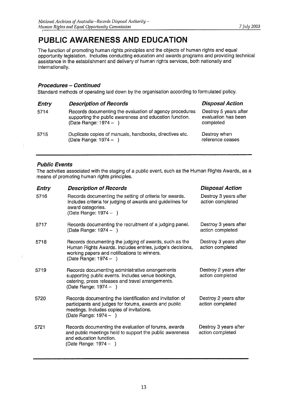The function of promoting human rights principles and the objects of human rights and equal opportunity legislation. Includes conducting education and awards programs and providing technical assistance in the establishment and delivery of human rights services, both nationally and internationally.

## **Procedures - Continued**

Standard methods of operating laid down by the organisation according to formulated policy.

| Entry | <b>Description of Records</b>                                                                                                                   | <b>Disposal Action</b>                                    |
|-------|-------------------------------------------------------------------------------------------------------------------------------------------------|-----------------------------------------------------------|
| 5714  | Records documenting the evaluation of agency procedures<br>supporting the public awareness and education function.<br>(Date Range: $1974 - 1$ ) | Destroy 5 years after<br>evaluation has been<br>completed |
| 5715  | Duplicate copies of manuals, handbooks, directives etc.<br>(Date Range: 1974 – )                                                                | Destroy when<br>reference ceases                          |

### **Public Events**

 $\cdot$ 

The activities associated with the staging of a public event, such as the Human Rights Awards, as a means of promoting human rights principles.

| Entry | <b>Description of Records</b>                                                                                                                                                                | Disposal Action                           |
|-------|----------------------------------------------------------------------------------------------------------------------------------------------------------------------------------------------|-------------------------------------------|
| 5716  | Records documenting the setting of criteria for awards.<br>Includes criteria for judging of awards and guidelines for<br>award categories.<br>(Date Range: $1974 - )$                        | Destroy 3 years after<br>action completed |
| 5717  | Records documenting the recruitment of a judging panel.<br>(Date Range: $1974 - )$                                                                                                           | Destroy 3 years after<br>action completed |
| 5718  | Records documenting the judging of awards, such as the<br>Human Rights Awards. Includes entries, judge's decisions,<br>working papers and notifications to winners.<br>(Date Range: 1974 - ) | Destroy 3 years after<br>action completed |
| 5719  | Records documenting administrative arrangements<br>supporting public events. Includes venue bookings,<br>catering, press releases and travel arrangements.<br>(Date Range: 1974 - )          | Destroy 2 years after<br>action completed |
| 5720  | Records documenting the identification and invitation of<br>participants and judges for forums, awards and public<br>meetings. Includes copies of invitations.<br>(Date Range: 1974 - )      | Destroy 2 years after<br>action completed |
| 5721  | Records documenting the evaluation of forums, awards<br>and public meetings held to support the public awareness<br>and education function.<br>(Date Range: $1974 -$ )                       | Destroy 3 years after<br>action completed |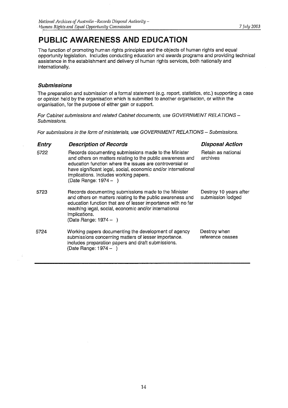The function of promoting human rights principles and the objects of human rights and equal opportunity legislation. Includes conducting education and awards programs and providing technical assistance in the establishment and delivery of human rights services, both nationally and internationally.

### **Submissions**

The preparation and submission of a formal statement (e.g. report, statistics, etc.) supporting a case or opinion held by the organisation which is submitted to another organisation, or within the organisation, for the purpose of either gain or support.

For Cabinet submissions and related Cabinet documents, use GOVERNMENT RELATIONS -Submissions.

For submissions in the form of ministerials, use GOVERNMENT RELATIONS - Submissions.

| <b>Entry</b> | <b>Description of Records</b>                                                                                                                                                                                                                                                                                      | <b>Disposal Action</b>                      |
|--------------|--------------------------------------------------------------------------------------------------------------------------------------------------------------------------------------------------------------------------------------------------------------------------------------------------------------------|---------------------------------------------|
| 5722         | Records documenting submissions made to the Minister<br>and others on matters relating to the public awareness and<br>education function where the issues are controversial or<br>have significant legal, social, economic and/or international<br>implications. Includes working papers.<br>(Date Range: 1974 - ) | Retain as national<br>archives              |
| 5723         | Records documenting submissions made to the Minister<br>and others on matters relating to the public awareness and<br>education function that are of lesser importance with no far<br>reaching legal, social, economic and/or international<br>implications.<br>(Date Range: 1974 - )                              | Destroy 10 years after<br>submission lodged |
| 5724         | Working papers documenting the development of agency<br>submissions concerning matters of lesser importance.<br>Includes preparation papers and draft submissions.<br>(Date Range: $1974 - )$                                                                                                                      | Destroy when<br>reference ceases            |